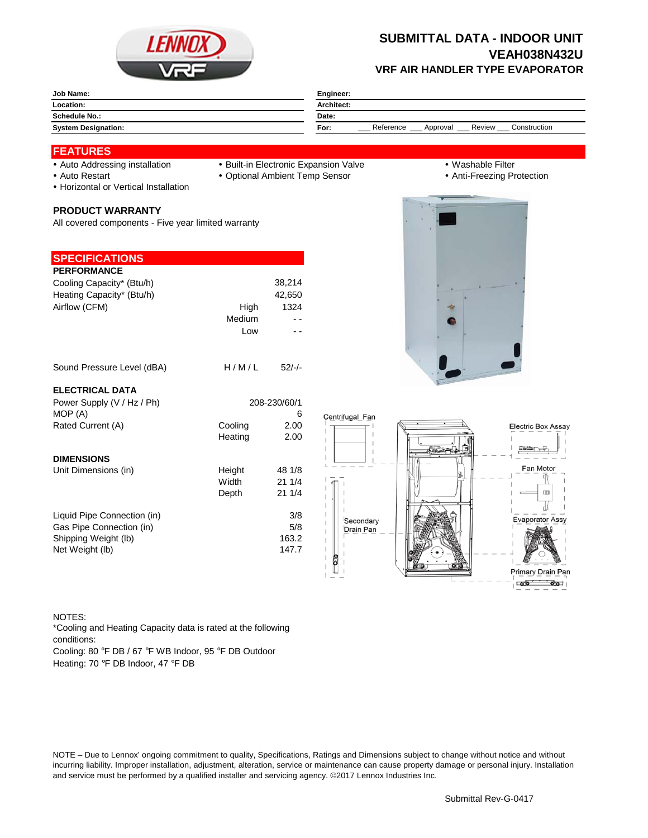

# **SUBMITTAL DATA - INDOOR UNIT VEAH038N432U VRF AIR HANDLER TYPE EVAPORATOR**

| Location:<br><b>Architect:</b><br><b>Schedule No.:</b><br>Date:                       | Job Name: | Engineer: |  |  |
|---------------------------------------------------------------------------------------|-----------|-----------|--|--|
|                                                                                       |           |           |  |  |
|                                                                                       |           |           |  |  |
| Construction<br>Review<br>Reference<br>Approval<br><b>System Designation:</b><br>For: |           |           |  |  |

### **FEATURES**

- 
- 
- Auto Addressing installation Built-in Electronic Expansion Valve Washable Filter
- Auto Restart **Cauca Community Community Community Community Community Community Community Community Community Community Community Community Community Community Community Community Community Community Community Community**
- Horizontal or Vertical Installation

#### **PRODUCT WARRANTY**

All covered components - Five year limited warranty

## **SPECIFICATIONS**

| <b>PERFORMANCE</b>        |        |        |
|---------------------------|--------|--------|
| Cooling Capacity* (Btu/h) |        | 38,214 |
| Heating Capacity* (Btu/h) |        | 42.650 |
| Airflow (CFM)             | High   | 1324   |
|                           | Medium |        |
|                           | Low    |        |
|                           |        |        |
|                           |        |        |

### ELEC<sup>-</sup>

| Sound Pressure Level (dBA)  | H/M/L   | $52/-/$      |                        |
|-----------------------------|---------|--------------|------------------------|
| <b>ELECTRICAL DATA</b>      |         |              |                        |
| Power Supply (V / Hz / Ph)  |         | 208-230/60/1 |                        |
| MOP (A)                     |         | 6            | Centrifugal Fan        |
| Rated Current (A)           | Cooling | 2.00         |                        |
|                             | Heating | 2.00         |                        |
| <b>DIMENSIONS</b>           |         |              |                        |
| Unit Dimensions (in)        | Height  | 48 1/8       |                        |
|                             | Width   | 211/4        |                        |
|                             | Depth   | 211/4        |                        |
| Liquid Pipe Connection (in) |         | 3/8          |                        |
| Gas Pipe Connection (in)    |         | 5/8          | Secondary<br>Drain Pan |
| Shipping Weight (lb)        |         | 163.2        |                        |
| Net Weight (lb)             |         | 147.7        |                        |
|                             |         |              |                        |





#### NOTES:

Cooling: 80 °F DB / 67 °F WB Indoor, 95 °F DB Outdoor \*Cooling and Heating Capacity data is rated at the following conditions:

Heating: 70 °F DB Indoor, 47 °F DB

NOTE – Due to Lennox' ongoing commitment to quality, Specifications, Ratings and Dimensions subject to change without notice and without incurring liability. Improper installation, adjustment, alteration, service or maintenance can cause property damage or personal injury. Installation and service must be performed by a qualified installer and servicing agency. ©2017 Lennox Industries Inc.